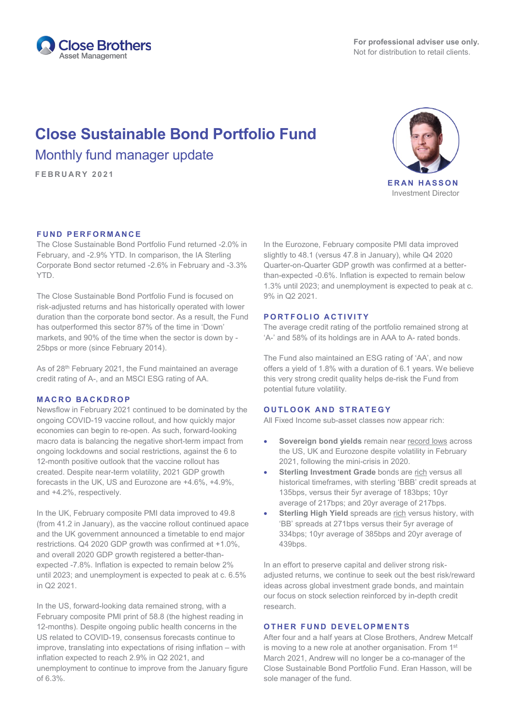

# **Close Sustainable Bond Portfolio Fund** Monthly fund manager update

**FEBRUARY 2021**



Investment Director

### **FUND PERFORMANCE**

The Close Sustainable Bond Portfolio Fund returned -2.0% in February, and -2.9% YTD. In comparison, the IA Sterling Corporate Bond sector returned -2.6% in February and -3.3% YTD.

The Close Sustainable Bond Portfolio Fund is focused on risk-adjusted returns and has historically operated with lower duration than the corporate bond sector. As a result, the Fund has outperformed this sector 87% of the time in 'Down' markets, and 90% of the time when the sector is down by - 25bps or more (since February 2014).

As of 28<sup>th</sup> February 2021, the Fund maintained an average credit rating of A-, and an MSCI ESG rating of AA.

#### **MACRO BACKDROP**

Newsflow in February 2021 continued to be dominated by the ongoing COVID-19 vaccine rollout, and how quickly major economies can begin to re-open. As such, forward-looking macro data is balancing the negative short-term impact from ongoing lockdowns and social restrictions, against the 6 to 12-month positive outlook that the vaccine rollout has created. Despite near-term volatility, 2021 GDP growth forecasts in the UK, US and Eurozone are +4.6%, +4.9%, and +4.2%, respectively.

In the UK, February composite PMI data improved to 49.8 (from 41.2 in January), as the vaccine rollout continued apace and the UK government announced a timetable to end major restrictions. Q4 2020 GDP growth was confirmed at +1.0%, and overall 2020 GDP growth registered a better-thanexpected -7.8%. Inflation is expected to remain below 2% until 2023; and unemployment is expected to peak at c. 6.5% in Q2 2021.

In the US, forward-looking data remained strong, with a February composite PMI print of 58.8 (the highest reading in 12-months). Despite ongoing public health concerns in the US related to COVID-19, consensus forecasts continue to improve, translating into expectations of rising inflation – with inflation expected to reach 2.9% in Q2 2021, and unemployment to continue to improve from the January figure of 6.3%.

In the Eurozone, February composite PMI data improved slightly to 48.1 (versus 47.8 in January), while Q4 2020 Quarter-on-Quarter GDP growth was confirmed at a betterthan-expected -0.6%. Inflation is expected to remain below 1.3% until 2023; and unemployment is expected to peak at c. 9% in Q2 2021.

#### **PORTFOLIO ACTIVITY**

The average credit rating of the portfolio remained strong at 'A-' and 58% of its holdings are in AAA to A- rated bonds.

The Fund also maintained an ESG rating of 'AA', and now offers a yield of 1.8% with a duration of 6.1 years. We believe this very strong credit quality helps de-risk the Fund from potential future volatility.

## **OUTLOOK AND STRATEGY**

All Fixed Income sub-asset classes now appear rich:

- **Sovereign bond yields** remain near record lows across the US, UK and Eurozone despite volatility in February 2021, following the mini-crisis in 2020.
- **Sterling Investment Grade** bonds are rich versus all historical timeframes, with sterling 'BBB' credit spreads at 135bps, versus their 5yr average of 183bps; 10yr average of 217bps; and 20yr average of 217bps.
- **Sterling High Yield** spreads are rich versus history, with 'BB' spreads at 271bps versus their 5yr average of 334bps; 10yr average of 385bps and 20yr average of 439bps.

In an effort to preserve capital and deliver strong riskadjusted returns, we continue to seek out the best risk/reward ideas across global investment grade bonds, and maintain our focus on stock selection reinforced by in-depth credit research.

# **OTHER FUND DEVELOPMENTS**

After four and a half years at Close Brothers, Andrew Metcalf is moving to a new role at another organisation. From 1<sup>st</sup> March 2021, Andrew will no longer be a co-manager of the Close Sustainable Bond Portfolio Fund. Eran Hasson, will be sole manager of the fund.